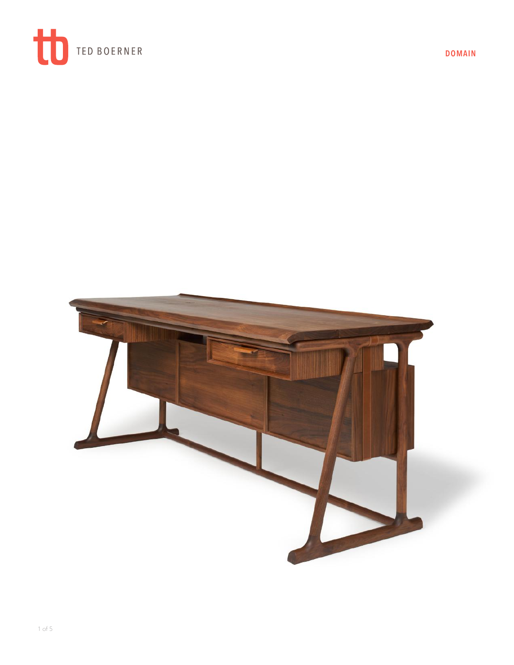

**DOMAIN**

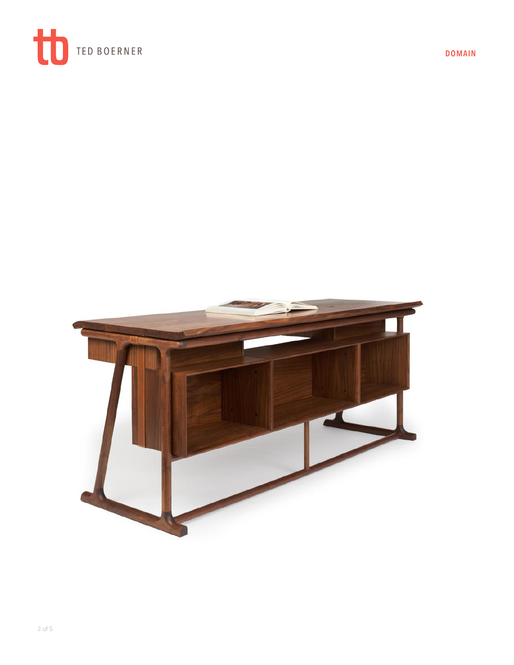

**DOMAIN**

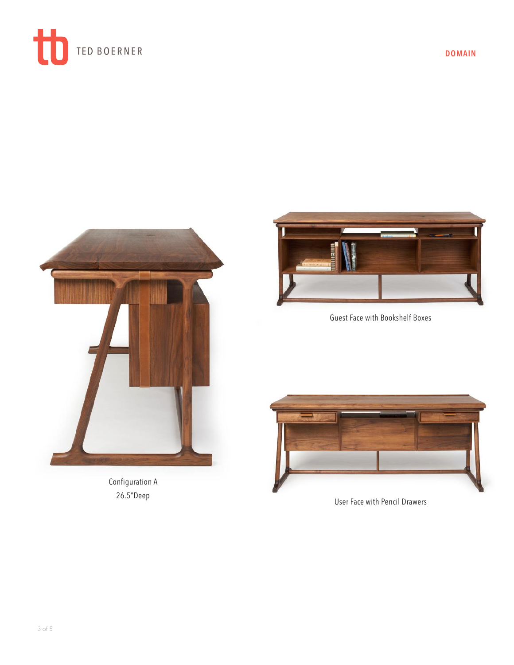

**DOMAIN**



Configuration A 26.5"Deep



Guest Face with Bookshelf Boxes



User Face with Pencil Drawers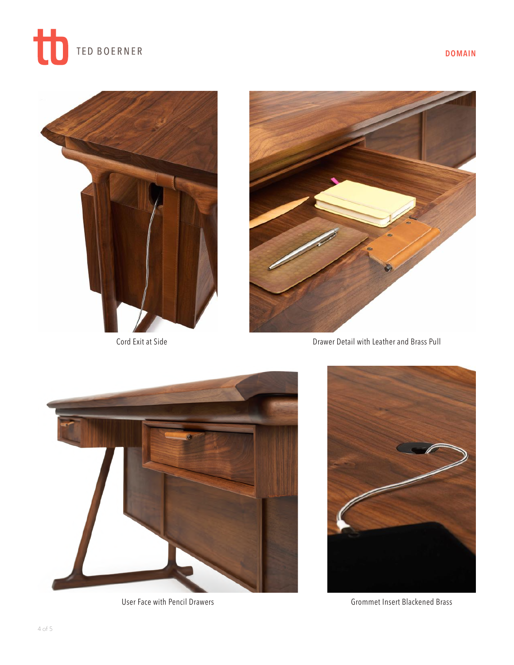





Cord Exit at Side



Drawer Detail with Leather and Brass Pull



User Face with Pencil Drawers



Grommet Insert Blackened Brass